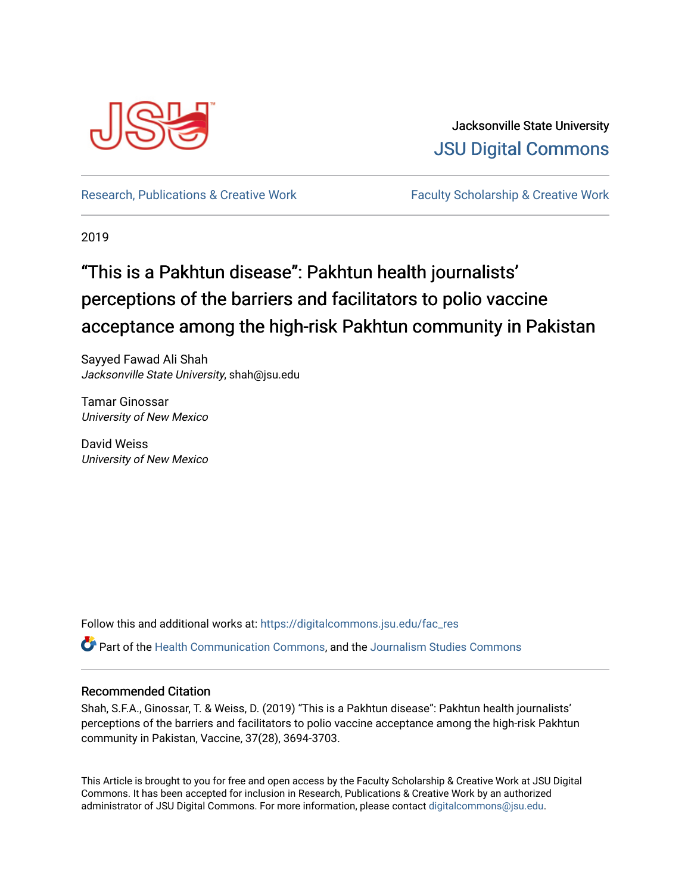

Jacksonville State University [JSU Digital Commons](https://digitalcommons.jsu.edu/) 

[Research, Publications & Creative Work](https://digitalcommons.jsu.edu/fac_res) Faculty Scholarship & Creative Work

2019

# "This is a Pakhtun disease": Pakhtun health journalists' perceptions of the barriers and facilitators to polio vaccine acceptance among the high-risk Pakhtun community in Pakistan

Sayyed Fawad Ali Shah Jacksonville State University, shah@jsu.edu

Tamar Ginossar University of New Mexico

David Weiss University of New Mexico

Follow this and additional works at: [https://digitalcommons.jsu.edu/fac\\_res](https://digitalcommons.jsu.edu/fac_res?utm_source=digitalcommons.jsu.edu%2Ffac_res%2F118&utm_medium=PDF&utm_campaign=PDFCoverPages) 

Part of the [Health Communication Commons](http://network.bepress.com/hgg/discipline/330?utm_source=digitalcommons.jsu.edu%2Ffac_res%2F118&utm_medium=PDF&utm_campaign=PDFCoverPages), and the [Journalism Studies Commons](http://network.bepress.com/hgg/discipline/333?utm_source=digitalcommons.jsu.edu%2Ffac_res%2F118&utm_medium=PDF&utm_campaign=PDFCoverPages)

# Recommended Citation

Shah, S.F.A., Ginossar, T. & Weiss, D. (2019) "This is a Pakhtun disease": Pakhtun health journalists' perceptions of the barriers and facilitators to polio vaccine acceptance among the high-risk Pakhtun community in Pakistan, Vaccine, 37(28), 3694-3703.

This Article is brought to you for free and open access by the Faculty Scholarship & Creative Work at JSU Digital Commons. It has been accepted for inclusion in Research, Publications & Creative Work by an authorized administrator of JSU Digital Commons. For more information, please contact [digitalcommons@jsu.edu.](mailto:digitalcommons@jsu.edu)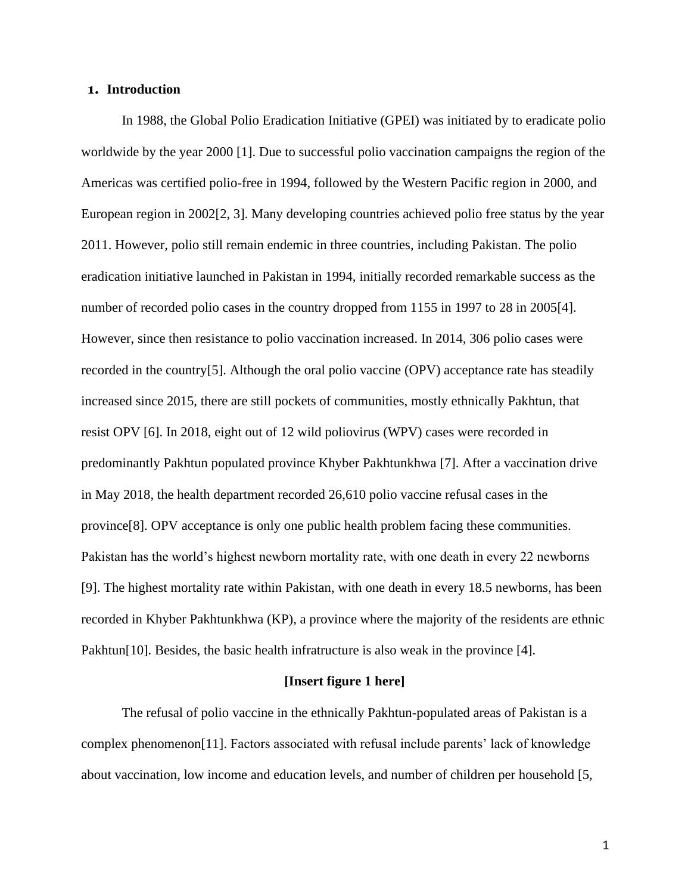# **1. Introduction**

In 1988, the Global Polio Eradication Initiative (GPEI) was initiated by to eradicate polio worldwide by the year 2000 [1]. Due to successful polio vaccination campaigns the region of the Americas was certified polio-free in 1994, followed by the Western Pacific region in 2000, and European region in 2002[2, 3]. Many developing countries achieved polio free status by the year 2011. However, polio still remain endemic in three countries, including Pakistan. The polio eradication initiative launched in Pakistan in 1994, initially recorded remarkable success as the number of recorded polio cases in the country dropped from 1155 in 1997 to 28 in 2005[4]. However, since then resistance to polio vaccination increased. In 2014, 306 polio cases were recorded in the country[5]. Although the oral polio vaccine (OPV) acceptance rate has steadily increased since 2015, there are still pockets of communities, mostly ethnically Pakhtun, that resist OPV [6]. In 2018, eight out of 12 wild poliovirus (WPV) cases were recorded in predominantly Pakhtun populated province Khyber Pakhtunkhwa [7]. After a vaccination drive in May 2018, the health department recorded 26,610 polio vaccine refusal cases in the province[8]. OPV acceptance is only one public health problem facing these communities. Pakistan has the world's highest newborn mortality rate, with one death in every 22 newborns [9]. The highest mortality rate within Pakistan, with one death in every 18.5 newborns, has been recorded in Khyber Pakhtunkhwa (KP), a province where the majority of the residents are ethnic Pakhtun<sup>[10]</sup>. Besides, the basic health infratructure is also weak in the province [4].

#### **[Insert figure 1 here]**

The refusal of polio vaccine in the ethnically Pakhtun-populated areas of Pakistan is a complex phenomenon[11]. Factors associated with refusal include parents' lack of knowledge about vaccination, low income and education levels, and number of children per household [5,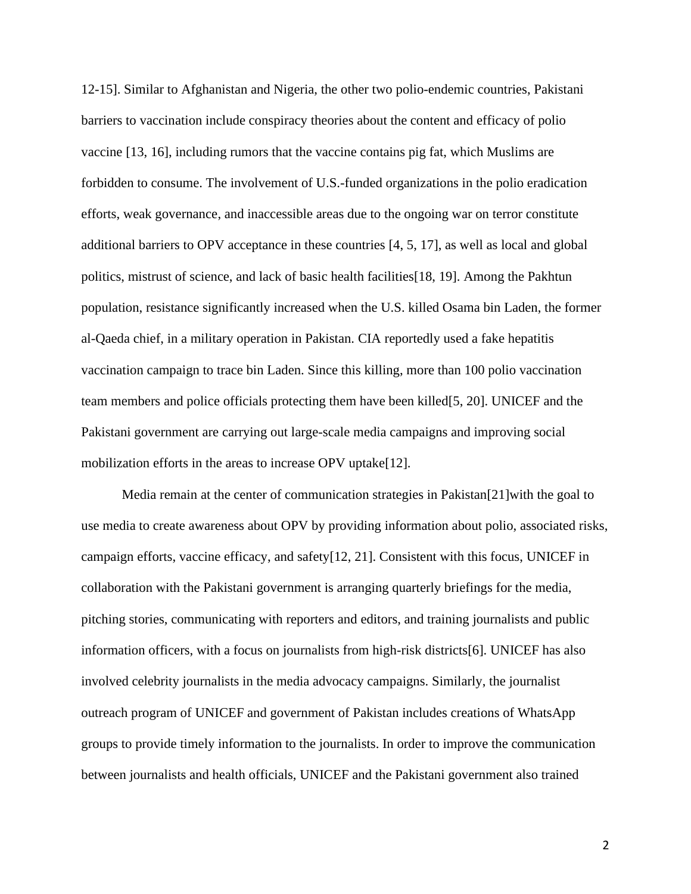12-15]. Similar to Afghanistan and Nigeria, the other two polio-endemic countries, Pakistani barriers to vaccination include conspiracy theories about the content and efficacy of polio vaccine [13, 16], including rumors that the vaccine contains pig fat, which Muslims are forbidden to consume. The involvement of U.S.-funded organizations in the polio eradication efforts, weak governance, and inaccessible areas due to the ongoing war on terror constitute additional barriers to OPV acceptance in these countries [4, 5, 17], as well as local and global politics, mistrust of science, and lack of basic health facilities[18, 19]. Among the Pakhtun population, resistance significantly increased when the U.S. killed Osama bin Laden, the former al-Qaeda chief, in a military operation in Pakistan. CIA reportedly used a fake hepatitis vaccination campaign to trace bin Laden. Since this killing, more than 100 polio vaccination team members and police officials protecting them have been killed[5, 20]. UNICEF and the Pakistani government are carrying out large-scale media campaigns and improving social mobilization efforts in the areas to increase OPV uptake[12].

Media remain at the center of communication strategies in Pakistan[21]with the goal to use media to create awareness about OPV by providing information about polio, associated risks, campaign efforts, vaccine efficacy, and safety[12, 21]. Consistent with this focus, UNICEF in collaboration with the Pakistani government is arranging quarterly briefings for the media, pitching stories, communicating with reporters and editors, and training journalists and public information officers, with a focus on journalists from high-risk districts[6]. UNICEF has also involved celebrity journalists in the media advocacy campaigns. Similarly, the journalist outreach program of UNICEF and government of Pakistan includes creations of WhatsApp groups to provide timely information to the journalists. In order to improve the communication between journalists and health officials, UNICEF and the Pakistani government also trained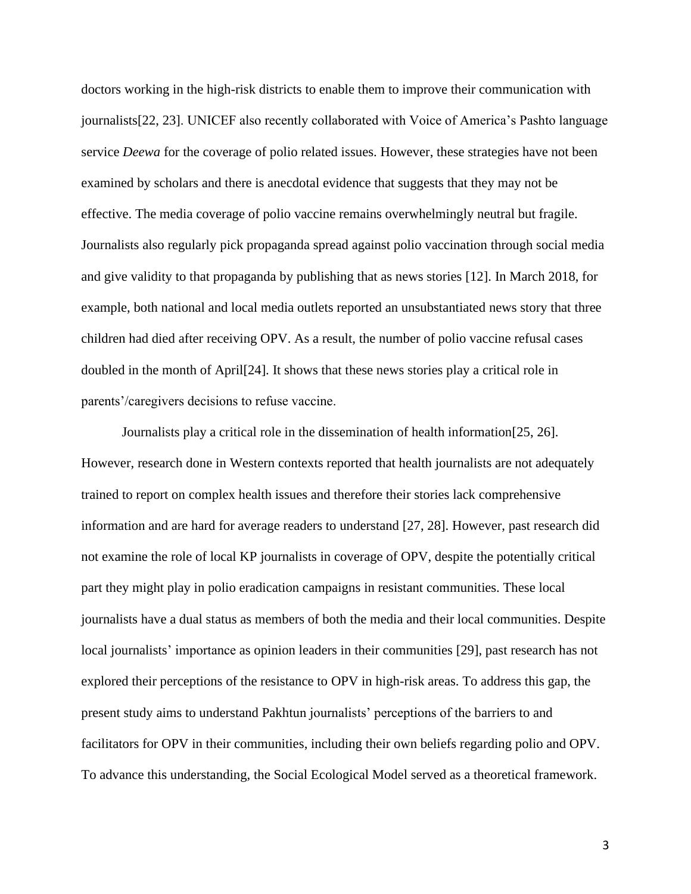doctors working in the high-risk districts to enable them to improve their communication with journalists[22, 23]. UNICEF also recently collaborated with Voice of America's Pashto language service *Deewa* for the coverage of polio related issues. However, these strategies have not been examined by scholars and there is anecdotal evidence that suggests that they may not be effective. The media coverage of polio vaccine remains overwhelmingly neutral but fragile. Journalists also regularly pick propaganda spread against polio vaccination through social media and give validity to that propaganda by publishing that as news stories [12]. In March 2018, for example, both national and local media outlets reported an unsubstantiated news story that three children had died after receiving OPV. As a result, the number of polio vaccine refusal cases doubled in the month of April[24]. It shows that these news stories play a critical role in parents'/caregivers decisions to refuse vaccine.

Journalists play a critical role in the dissemination of health information[25, 26]. However, research done in Western contexts reported that health journalists are not adequately trained to report on complex health issues and therefore their stories lack comprehensive information and are hard for average readers to understand [27, 28]. However, past research did not examine the role of local KP journalists in coverage of OPV, despite the potentially critical part they might play in polio eradication campaigns in resistant communities. These local journalists have a dual status as members of both the media and their local communities. Despite local journalists' importance as opinion leaders in their communities [29], past research has not explored their perceptions of the resistance to OPV in high-risk areas. To address this gap, the present study aims to understand Pakhtun journalists' perceptions of the barriers to and facilitators for OPV in their communities, including their own beliefs regarding polio and OPV. To advance this understanding, the Social Ecological Model served as a theoretical framework.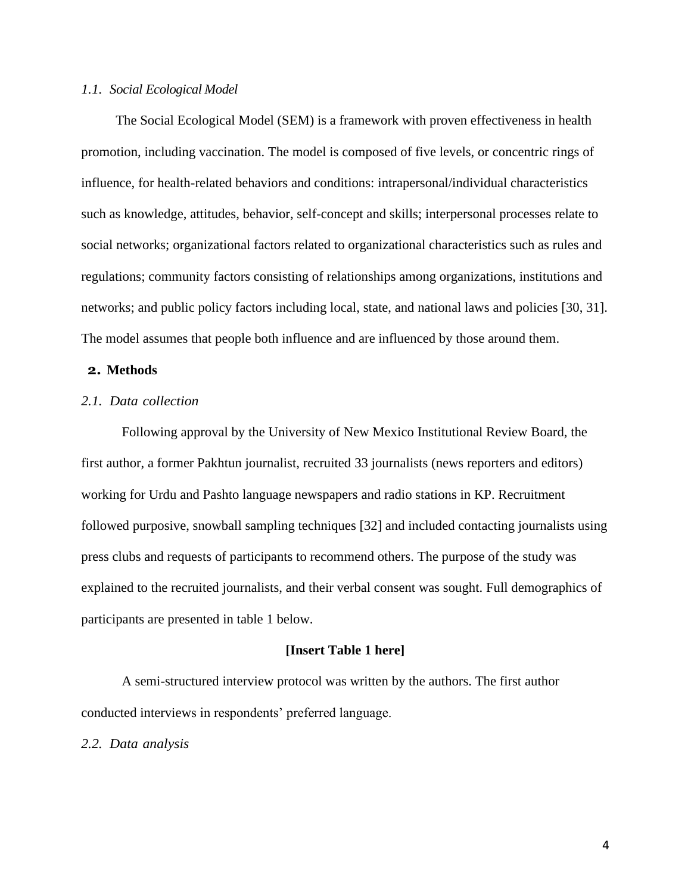#### *1.1. Social Ecological Model*

The Social Ecological Model (SEM) is a framework with proven effectiveness in health promotion, including vaccination. The model is composed of five levels, or concentric rings of influence, for health-related behaviors and conditions: intrapersonal/individual characteristics such as knowledge, attitudes, behavior, self-concept and skills; interpersonal processes relate to social networks; organizational factors related to organizational characteristics such as rules and regulations; community factors consisting of relationships among organizations, institutions and networks; and public policy factors including local, state, and national laws and policies [30, 31]. The model assumes that people both influence and are influenced by those around them.

#### **2. Methods**

# *2.1. Data collection*

Following approval by the University of New Mexico Institutional Review Board, the first author, a former Pakhtun journalist, recruited 33 journalists (news reporters and editors) working for Urdu and Pashto language newspapers and radio stations in KP. Recruitment followed purposive, snowball sampling techniques [32] and included contacting journalists using press clubs and requests of participants to recommend others. The purpose of the study was explained to the recruited journalists, and their verbal consent was sought. Full demographics of participants are presented in table 1 below.

#### **[Insert Table 1 here]**

A semi-structured interview protocol was written by the authors. The first author conducted interviews in respondents' preferred language.

*2.2. Data analysis*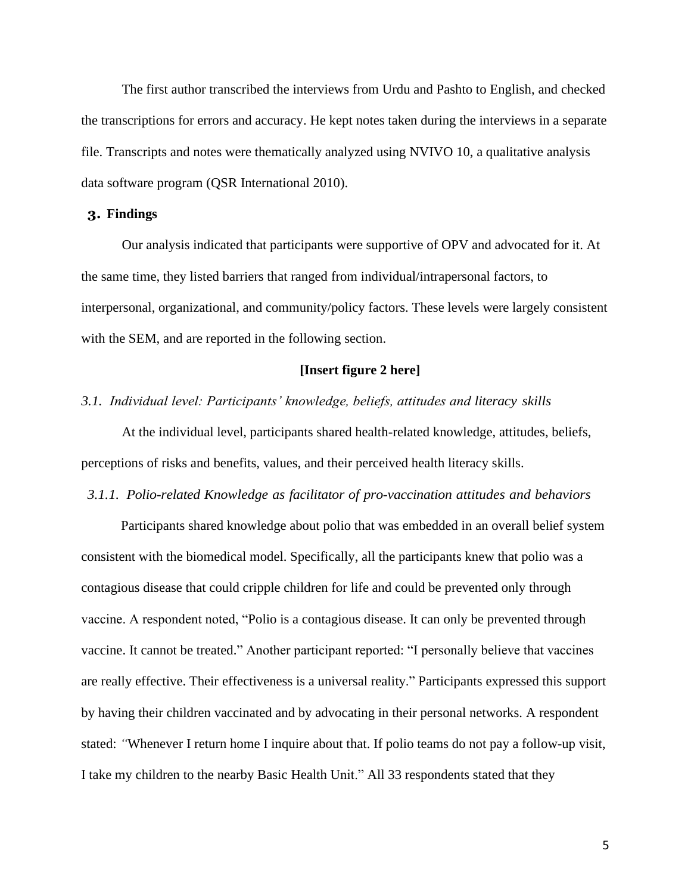The first author transcribed the interviews from Urdu and Pashto to English, and checked the transcriptions for errors and accuracy. He kept notes taken during the interviews in a separate file. Transcripts and notes were thematically analyzed using NVIVO 10, a qualitative analysis data software program (QSR International 2010).

## **3. Findings**

Our analysis indicated that participants were supportive of OPV and advocated for it. At the same time, they listed barriers that ranged from individual/intrapersonal factors, to interpersonal, organizational, and community/policy factors. These levels were largely consistent with the SEM, and are reported in the following section.

# **[Insert figure 2 here]**

#### *3.1. Individual level: Participants' knowledge, beliefs, attitudes and literacy skills*

At the individual level, participants shared health-related knowledge, attitudes, beliefs, perceptions of risks and benefits, values, and their perceived health literacy skills.

#### *3.1.1. Polio-related Knowledge as facilitator of pro-vaccination attitudes and behaviors*

Participants shared knowledge about polio that was embedded in an overall belief system consistent with the biomedical model. Specifically, all the participants knew that polio was a contagious disease that could cripple children for life and could be prevented only through vaccine. A respondent noted, "Polio is a contagious disease. It can only be prevented through vaccine. It cannot be treated." Another participant reported: "I personally believe that vaccines are really effective. Their effectiveness is a universal reality." Participants expressed this support by having their children vaccinated and by advocating in their personal networks. A respondent stated: *"*Whenever I return home I inquire about that. If polio teams do not pay a follow-up visit, I take my children to the nearby Basic Health Unit." All 33 respondents stated that they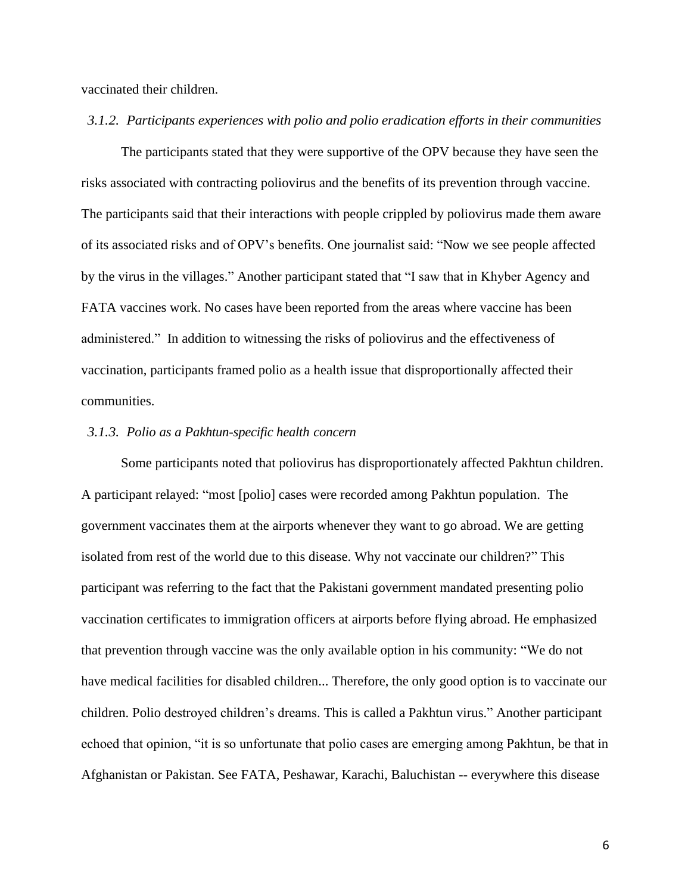vaccinated their children.

#### *3.1.2. Participants experiences with polio and polio eradication efforts in their communities*

The participants stated that they were supportive of the OPV because they have seen the risks associated with contracting poliovirus and the benefits of its prevention through vaccine. The participants said that their interactions with people crippled by poliovirus made them aware of its associated risks and of OPV's benefits. One journalist said: "Now we see people affected by the virus in the villages." Another participant stated that "I saw that in Khyber Agency and FATA vaccines work. No cases have been reported from the areas where vaccine has been administered." In addition to witnessing the risks of poliovirus and the effectiveness of vaccination, participants framed polio as a health issue that disproportionally affected their communities.

#### *3.1.3. Polio as a Pakhtun-specific health concern*

Some participants noted that poliovirus has disproportionately affected Pakhtun children. A participant relayed: "most [polio] cases were recorded among Pakhtun population. The government vaccinates them at the airports whenever they want to go abroad. We are getting isolated from rest of the world due to this disease. Why not vaccinate our children?" This participant was referring to the fact that the Pakistani government mandated presenting polio vaccination certificates to immigration officers at airports before flying abroad. He emphasized that prevention through vaccine was the only available option in his community: "We do not have medical facilities for disabled children... Therefore, the only good option is to vaccinate our children. Polio destroyed children's dreams. This is called a Pakhtun virus." Another participant echoed that opinion, "it is so unfortunate that polio cases are emerging among Pakhtun, be that in Afghanistan or Pakistan. See FATA, Peshawar, Karachi, Baluchistan -- everywhere this disease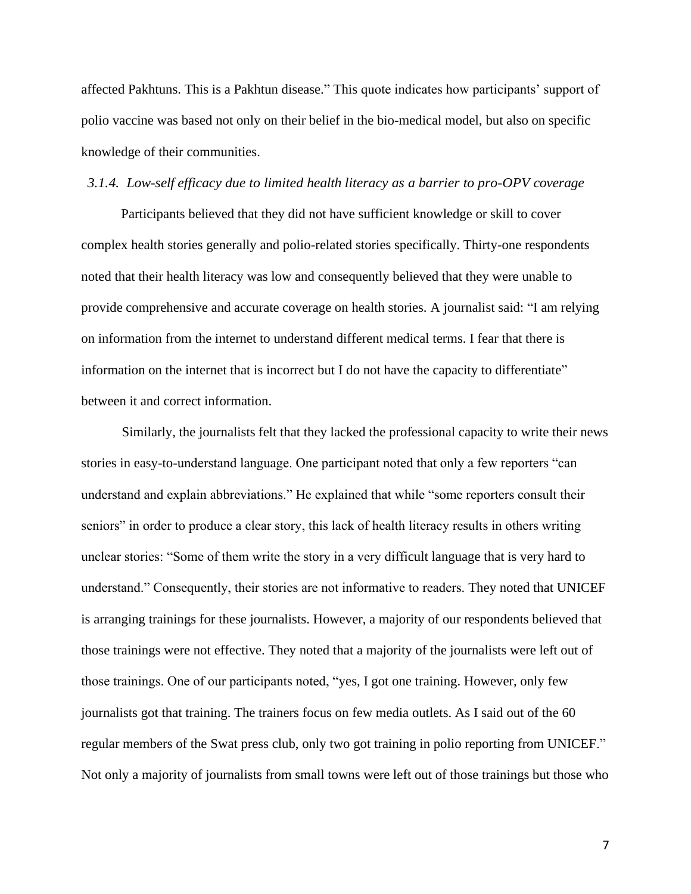affected Pakhtuns. This is a Pakhtun disease." This quote indicates how participants' support of polio vaccine was based not only on their belief in the bio-medical model, but also on specific knowledge of their communities.

#### *3.1.4. Low-self efficacy due to limited health literacy as a barrier to pro-OPV coverage*

Participants believed that they did not have sufficient knowledge or skill to cover complex health stories generally and polio-related stories specifically. Thirty-one respondents noted that their health literacy was low and consequently believed that they were unable to provide comprehensive and accurate coverage on health stories. A journalist said: "I am relying on information from the internet to understand different medical terms. I fear that there is information on the internet that is incorrect but I do not have the capacity to differentiate" between it and correct information.

Similarly, the journalists felt that they lacked the professional capacity to write their news stories in easy-to-understand language. One participant noted that only a few reporters "can understand and explain abbreviations." He explained that while "some reporters consult their seniors" in order to produce a clear story, this lack of health literacy results in others writing unclear stories: "Some of them write the story in a very difficult language that is very hard to understand." Consequently, their stories are not informative to readers. They noted that UNICEF is arranging trainings for these journalists. However, a majority of our respondents believed that those trainings were not effective. They noted that a majority of the journalists were left out of those trainings. One of our participants noted, "yes, I got one training. However, only few journalists got that training. The trainers focus on few media outlets. As I said out of the 60 regular members of the Swat press club, only two got training in polio reporting from UNICEF." Not only a majority of journalists from small towns were left out of those trainings but those who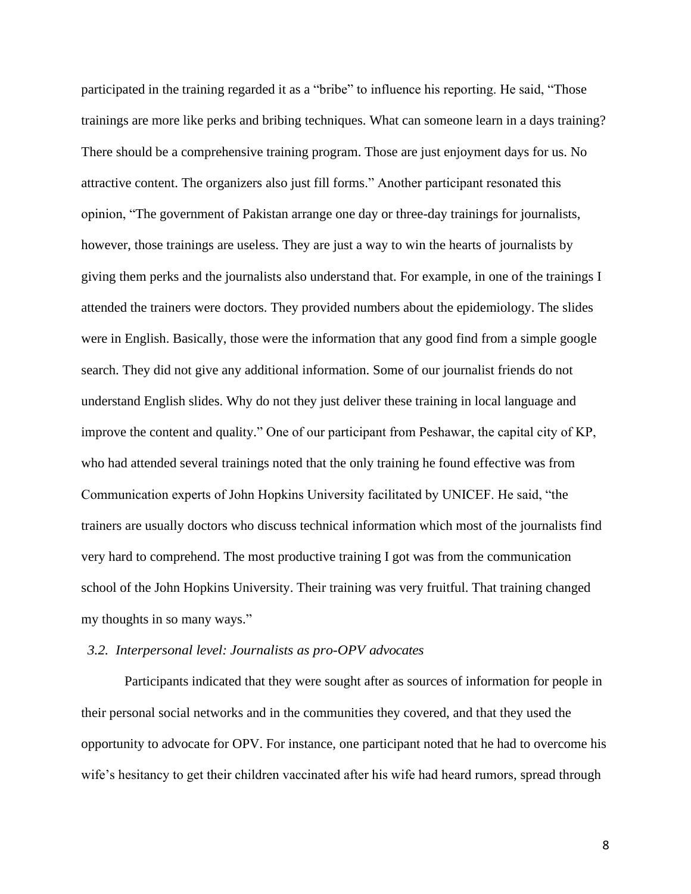participated in the training regarded it as a "bribe" to influence his reporting. He said, "Those trainings are more like perks and bribing techniques. What can someone learn in a days training? There should be a comprehensive training program. Those are just enjoyment days for us. No attractive content. The organizers also just fill forms." Another participant resonated this opinion, "The government of Pakistan arrange one day or three-day trainings for journalists, however, those trainings are useless. They are just a way to win the hearts of journalists by giving them perks and the journalists also understand that. For example, in one of the trainings I attended the trainers were doctors. They provided numbers about the epidemiology. The slides were in English. Basically, those were the information that any good find from a simple google search. They did not give any additional information. Some of our journalist friends do not understand English slides. Why do not they just deliver these training in local language and improve the content and quality." One of our participant from Peshawar, the capital city of KP, who had attended several trainings noted that the only training he found effective was from Communication experts of John Hopkins University facilitated by UNICEF. He said, "the trainers are usually doctors who discuss technical information which most of the journalists find very hard to comprehend. The most productive training I got was from the communication school of the John Hopkins University. Their training was very fruitful. That training changed my thoughts in so many ways."

#### *3.2. Interpersonal level: Journalists as pro-OPV advocates*

Participants indicated that they were sought after as sources of information for people in their personal social networks and in the communities they covered, and that they used the opportunity to advocate for OPV. For instance, one participant noted that he had to overcome his wife's hesitancy to get their children vaccinated after his wife had heard rumors, spread through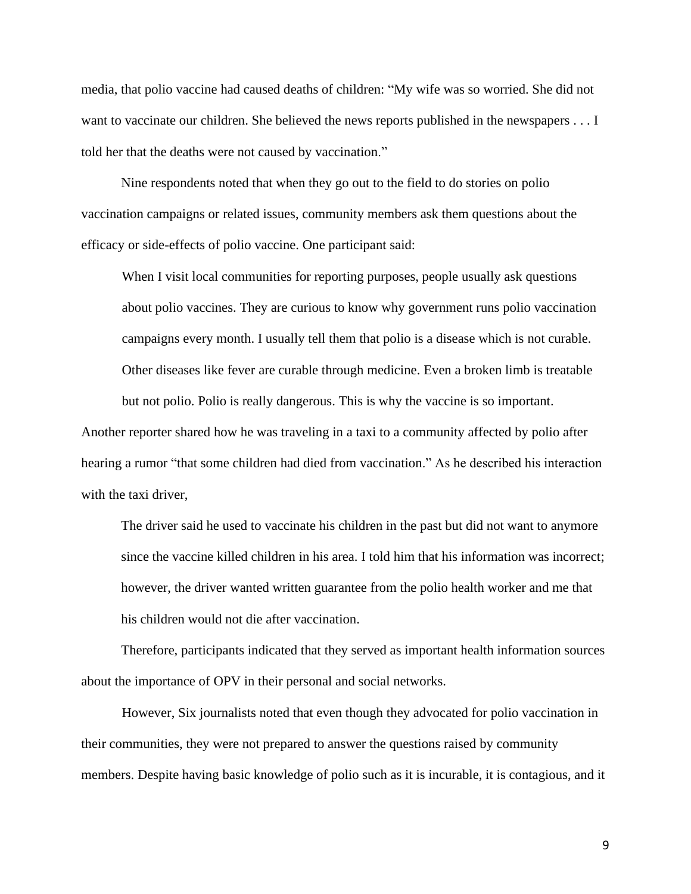media, that polio vaccine had caused deaths of children: "My wife was so worried. She did not want to vaccinate our children. She believed the news reports published in the newspapers . . . I told her that the deaths were not caused by vaccination."

Nine respondents noted that when they go out to the field to do stories on polio vaccination campaigns or related issues, community members ask them questions about the efficacy or side-effects of polio vaccine. One participant said:

When I visit local communities for reporting purposes, people usually ask questions about polio vaccines. They are curious to know why government runs polio vaccination campaigns every month. I usually tell them that polio is a disease which is not curable. Other diseases like fever are curable through medicine. Even a broken limb is treatable but not polio. Polio is really dangerous. This is why the vaccine is so important.

Another reporter shared how he was traveling in a taxi to a community affected by polio after hearing a rumor "that some children had died from vaccination." As he described his interaction with the taxi driver,

The driver said he used to vaccinate his children in the past but did not want to anymore since the vaccine killed children in his area. I told him that his information was incorrect; however, the driver wanted written guarantee from the polio health worker and me that his children would not die after vaccination.

Therefore, participants indicated that they served as important health information sources about the importance of OPV in their personal and social networks.

However, Six journalists noted that even though they advocated for polio vaccination in their communities, they were not prepared to answer the questions raised by community members. Despite having basic knowledge of polio such as it is incurable, it is contagious, and it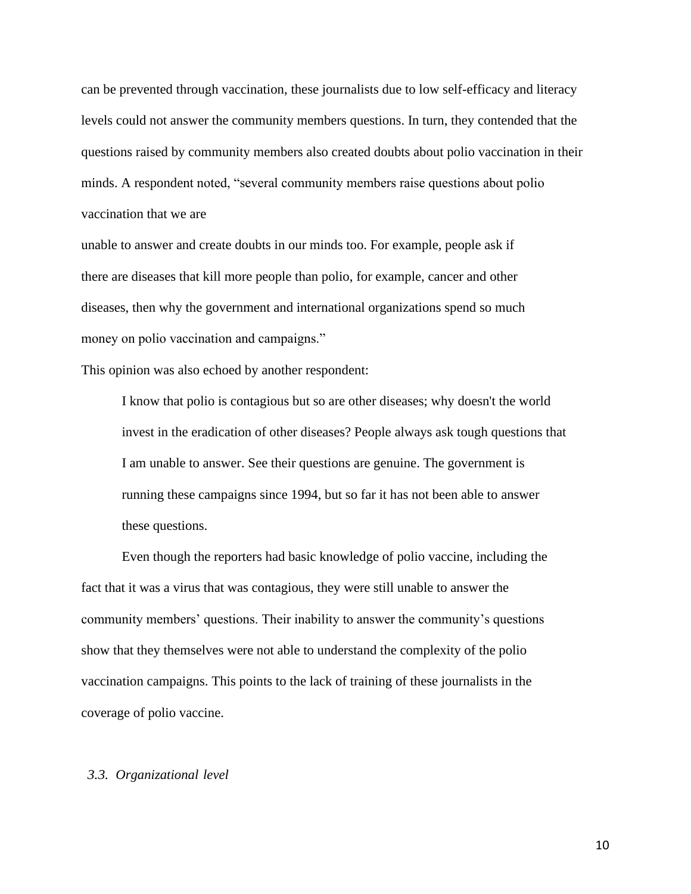can be prevented through vaccination, these journalists due to low self-efficacy and literacy levels could not answer the community members questions. In turn, they contended that the questions raised by community members also created doubts about polio vaccination in their minds. A respondent noted, "several community members raise questions about polio vaccination that we are

unable to answer and create doubts in our minds too. For example, people ask if there are diseases that kill more people than polio, for example, cancer and other diseases, then why the government and international organizations spend so much money on polio vaccination and campaigns."

This opinion was also echoed by another respondent:

I know that polio is contagious but so are other diseases; why doesn't the world invest in the eradication of other diseases? People always ask tough questions that I am unable to answer. See their questions are genuine. The government is running these campaigns since 1994, but so far it has not been able to answer these questions.

Even though the reporters had basic knowledge of polio vaccine, including the fact that it was a virus that was contagious, they were still unable to answer the community members' questions. Their inability to answer the community's questions show that they themselves were not able to understand the complexity of the polio vaccination campaigns. This points to the lack of training of these journalists in the coverage of polio vaccine.

# *3.3. Organizational level*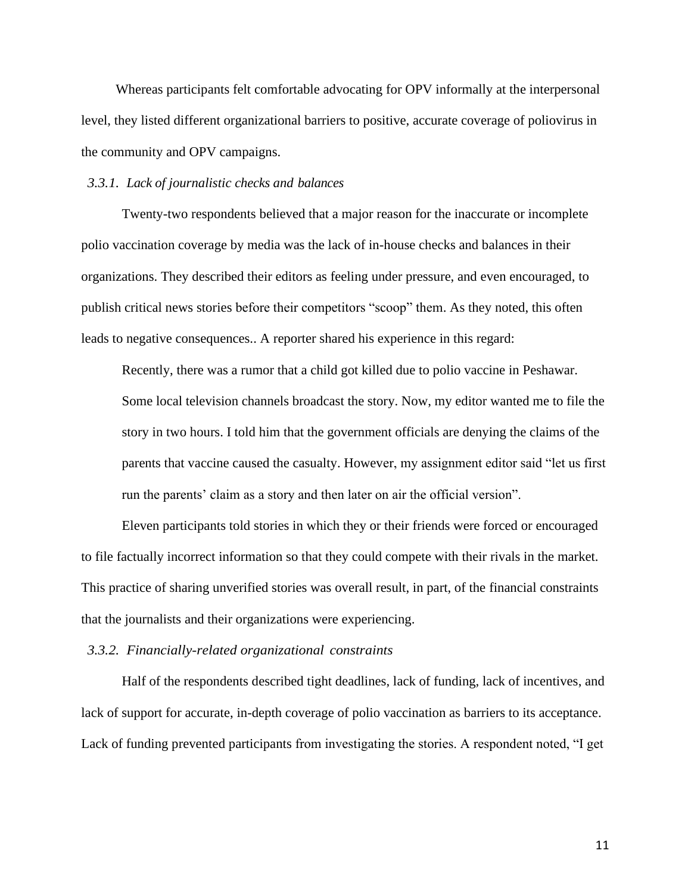Whereas participants felt comfortable advocating for OPV informally at the interpersonal level, they listed different organizational barriers to positive, accurate coverage of poliovirus in the community and OPV campaigns.

# *3.3.1. Lack of journalistic checks and balances*

Twenty-two respondents believed that a major reason for the inaccurate or incomplete polio vaccination coverage by media was the lack of in-house checks and balances in their organizations. They described their editors as feeling under pressure, and even encouraged, to publish critical news stories before their competitors "scoop" them. As they noted, this often leads to negative consequences.. A reporter shared his experience in this regard:

Recently, there was a rumor that a child got killed due to polio vaccine in Peshawar. Some local television channels broadcast the story. Now, my editor wanted me to file the story in two hours. I told him that the government officials are denying the claims of the parents that vaccine caused the casualty. However, my assignment editor said "let us first run the parents' claim as a story and then later on air the official version".

Eleven participants told stories in which they or their friends were forced or encouraged to file factually incorrect information so that they could compete with their rivals in the market. This practice of sharing unverified stories was overall result, in part, of the financial constraints that the journalists and their organizations were experiencing.

*3.3.2. Financially-related organizational constraints*

Half of the respondents described tight deadlines, lack of funding, lack of incentives, and lack of support for accurate, in-depth coverage of polio vaccination as barriers to its acceptance. Lack of funding prevented participants from investigating the stories. A respondent noted, "I get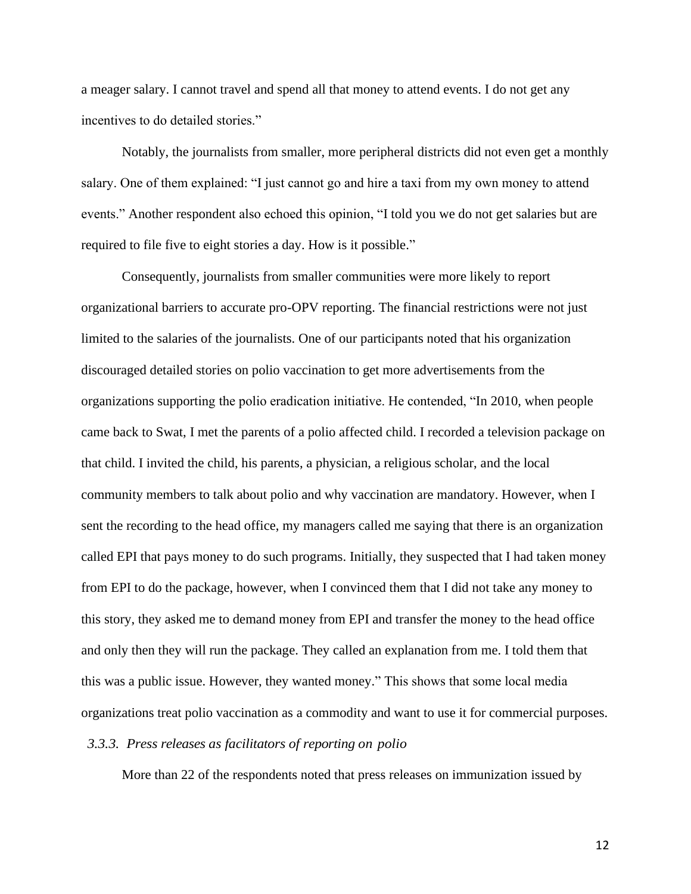a meager salary. I cannot travel and spend all that money to attend events. I do not get any incentives to do detailed stories."

Notably, the journalists from smaller, more peripheral districts did not even get a monthly salary. One of them explained: "I just cannot go and hire a taxi from my own money to attend events." Another respondent also echoed this opinion, "I told you we do not get salaries but are required to file five to eight stories a day. How is it possible."

Consequently, journalists from smaller communities were more likely to report organizational barriers to accurate pro-OPV reporting. The financial restrictions were not just limited to the salaries of the journalists. One of our participants noted that his organization discouraged detailed stories on polio vaccination to get more advertisements from the organizations supporting the polio eradication initiative. He contended, "In 2010, when people came back to Swat, I met the parents of a polio affected child. I recorded a television package on that child. I invited the child, his parents, a physician, a religious scholar, and the local community members to talk about polio and why vaccination are mandatory. However, when I sent the recording to the head office, my managers called me saying that there is an organization called EPI that pays money to do such programs. Initially, they suspected that I had taken money from EPI to do the package, however, when I convinced them that I did not take any money to this story, they asked me to demand money from EPI and transfer the money to the head office and only then they will run the package. They called an explanation from me. I told them that this was a public issue. However, they wanted money." This shows that some local media organizations treat polio vaccination as a commodity and want to use it for commercial purposes.

# *3.3.3. Press releases as facilitators of reporting on polio*

More than 22 of the respondents noted that press releases on immunization issued by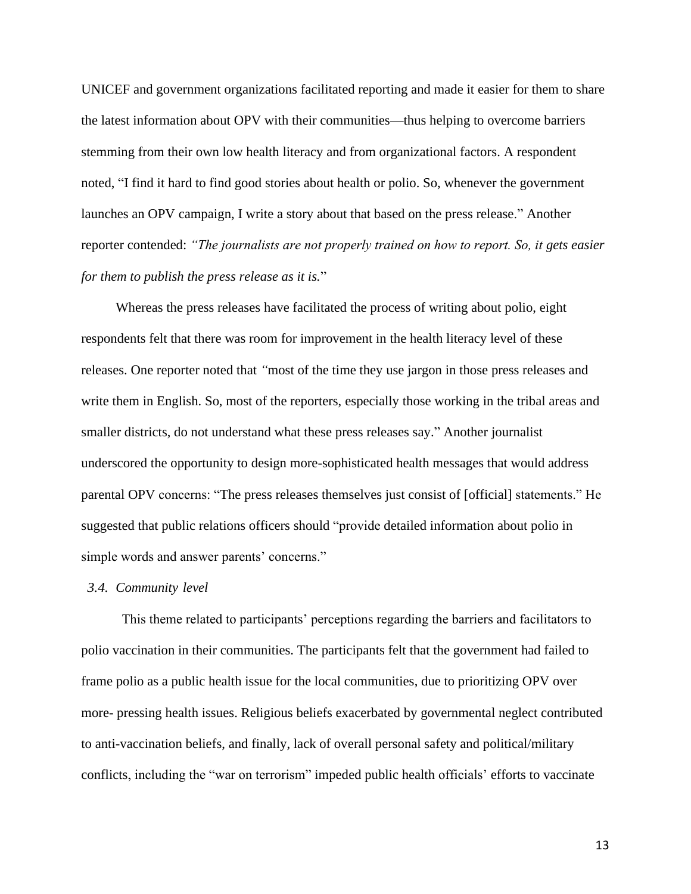UNICEF and government organizations facilitated reporting and made it easier for them to share the latest information about OPV with their communities—thus helping to overcome barriers stemming from their own low health literacy and from organizational factors. A respondent noted, "I find it hard to find good stories about health or polio. So, whenever the government launches an OPV campaign, I write a story about that based on the press release." Another reporter contended: *"The journalists are not properly trained on how to report. So, it gets easier for them to publish the press release as it is.*"

Whereas the press releases have facilitated the process of writing about polio, eight respondents felt that there was room for improvement in the health literacy level of these releases. One reporter noted that *"*most of the time they use jargon in those press releases and write them in English. So, most of the reporters, especially those working in the tribal areas and smaller districts, do not understand what these press releases say." Another journalist underscored the opportunity to design more-sophisticated health messages that would address parental OPV concerns: "The press releases themselves just consist of [official] statements." He suggested that public relations officers should "provide detailed information about polio in simple words and answer parents' concerns."

## *3.4. Community level*

This theme related to participants' perceptions regarding the barriers and facilitators to polio vaccination in their communities. The participants felt that the government had failed to frame polio as a public health issue for the local communities, due to prioritizing OPV over more- pressing health issues. Religious beliefs exacerbated by governmental neglect contributed to anti-vaccination beliefs, and finally, lack of overall personal safety and political/military conflicts, including the "war on terrorism" impeded public health officials' efforts to vaccinate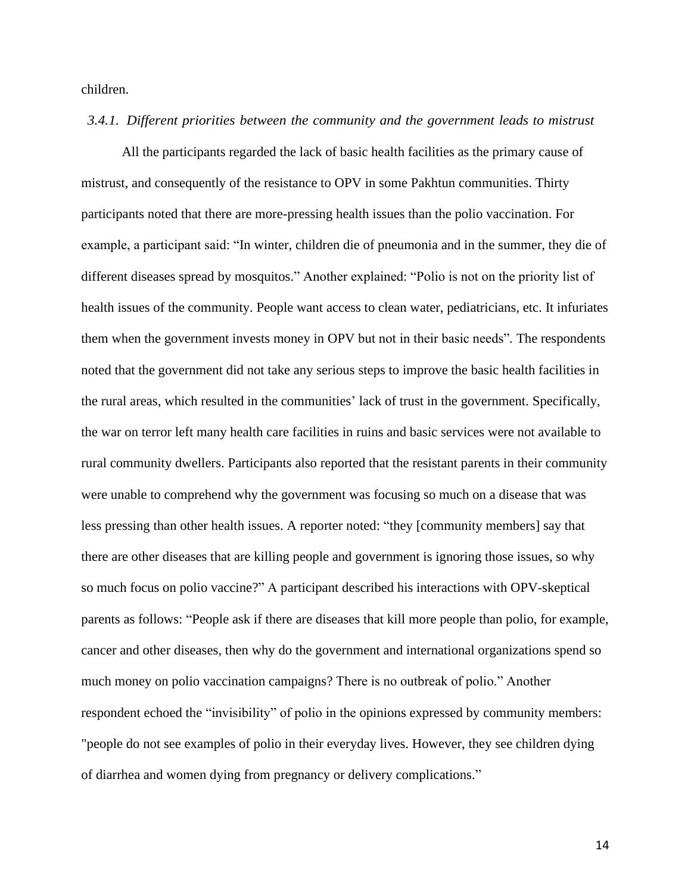children.

## *3.4.1. Different priorities between the community and the government leads to mistrust*

All the participants regarded the lack of basic health facilities as the primary cause of mistrust, and consequently of the resistance to OPV in some Pakhtun communities. Thirty participants noted that there are more-pressing health issues than the polio vaccination. For example, a participant said: "In winter, children die of pneumonia and in the summer, they die of different diseases spread by mosquitos." Another explained: "Polio is not on the priority list of health issues of the community. People want access to clean water, pediatricians, etc. It infuriates them when the government invests money in OPV but not in their basic needs"*.* The respondents noted that the government did not take any serious steps to improve the basic health facilities in the rural areas, which resulted in the communities' lack of trust in the government. Specifically, the war on terror left many health care facilities in ruins and basic services were not available to rural community dwellers. Participants also reported that the resistant parents in their community were unable to comprehend why the government was focusing so much on a disease that was less pressing than other health issues. A reporter noted: "they [community members] say that there are other diseases that are killing people and government is ignoring those issues, so why so much focus on polio vaccine?" A participant described his interactions with OPV-skeptical parents as follows: "People ask if there are diseases that kill more people than polio, for example, cancer and other diseases, then why do the government and international organizations spend so much money on polio vaccination campaigns? There is no outbreak of polio." Another respondent echoed the "invisibility" of polio in the opinions expressed by community members: "people do not see examples of polio in their everyday lives. However, they see children dying of diarrhea and women dying from pregnancy or delivery complications."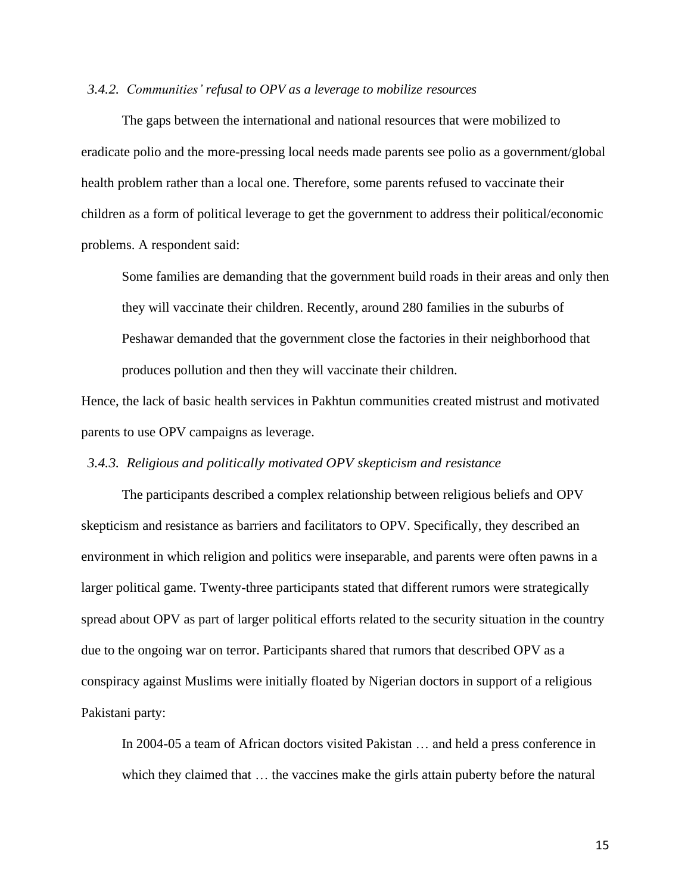# *3.4.2. Communities' refusal to OPV as a leverage to mobilize resources*

The gaps between the international and national resources that were mobilized to eradicate polio and the more-pressing local needs made parents see polio as a government/global health problem rather than a local one. Therefore, some parents refused to vaccinate their children as a form of political leverage to get the government to address their political/economic problems. A respondent said:

Some families are demanding that the government build roads in their areas and only then they will vaccinate their children. Recently, around 280 families in the suburbs of Peshawar demanded that the government close the factories in their neighborhood that produces pollution and then they will vaccinate their children.

Hence, the lack of basic health services in Pakhtun communities created mistrust and motivated parents to use OPV campaigns as leverage.

# *3.4.3. Religious and politically motivated OPV skepticism and resistance*

The participants described a complex relationship between religious beliefs and OPV skepticism and resistance as barriers and facilitators to OPV. Specifically, they described an environment in which religion and politics were inseparable, and parents were often pawns in a larger political game. Twenty-three participants stated that different rumors were strategically spread about OPV as part of larger political efforts related to the security situation in the country due to the ongoing war on terror. Participants shared that rumors that described OPV as a conspiracy against Muslims were initially floated by Nigerian doctors in support of a religious Pakistani party:

In 2004-05 a team of African doctors visited Pakistan … and held a press conference in which they claimed that ... the vaccines make the girls attain puberty before the natural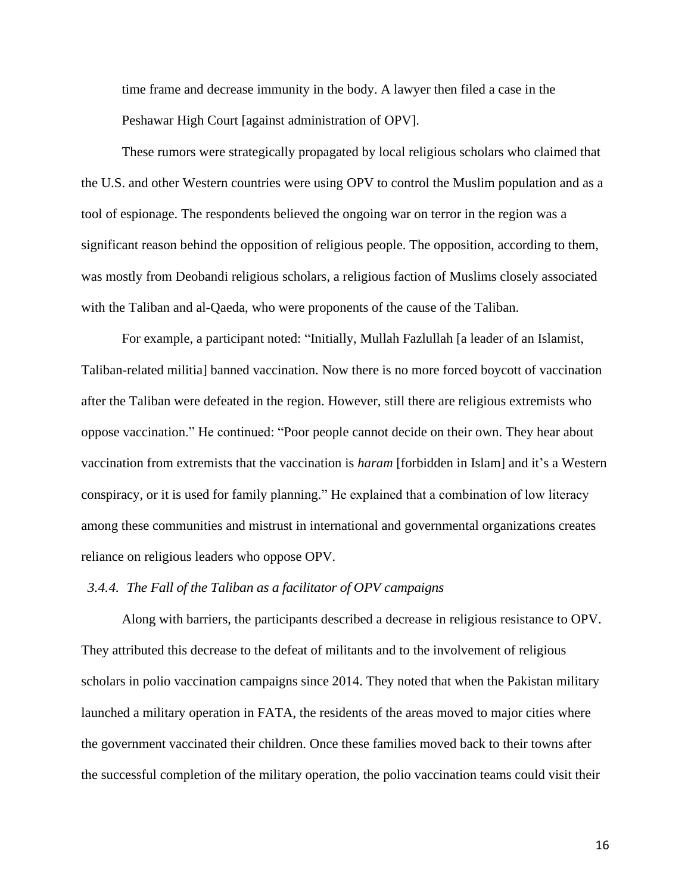time frame and decrease immunity in the body. A lawyer then filed a case in the Peshawar High Court [against administration of OPV].

These rumors were strategically propagated by local religious scholars who claimed that the U.S. and other Western countries were using OPV to control the Muslim population and as a tool of espionage. The respondents believed the ongoing war on terror in the region was a significant reason behind the opposition of religious people. The opposition, according to them, was mostly from Deobandi religious scholars, a religious faction of Muslims closely associated with the Taliban and al-Qaeda, who were proponents of the cause of the Taliban.

For example, a participant noted: "Initially, Mullah Fazlullah [a leader of an Islamist, Taliban-related militia] banned vaccination. Now there is no more forced boycott of vaccination after the Taliban were defeated in the region. However, still there are religious extremists who oppose vaccination." He continued: "Poor people cannot decide on their own. They hear about vaccination from extremists that the vaccination is *haram* [forbidden in Islam] and it's a Western conspiracy, or it is used for family planning." He explained that a combination of low literacy among these communities and mistrust in international and governmental organizations creates reliance on religious leaders who oppose OPV.

# *3.4.4. The Fall of the Taliban as a facilitator of OPV campaigns*

Along with barriers, the participants described a decrease in religious resistance to OPV. They attributed this decrease to the defeat of militants and to the involvement of religious scholars in polio vaccination campaigns since 2014. They noted that when the Pakistan military launched a military operation in FATA, the residents of the areas moved to major cities where the government vaccinated their children. Once these families moved back to their towns after the successful completion of the military operation, the polio vaccination teams could visit their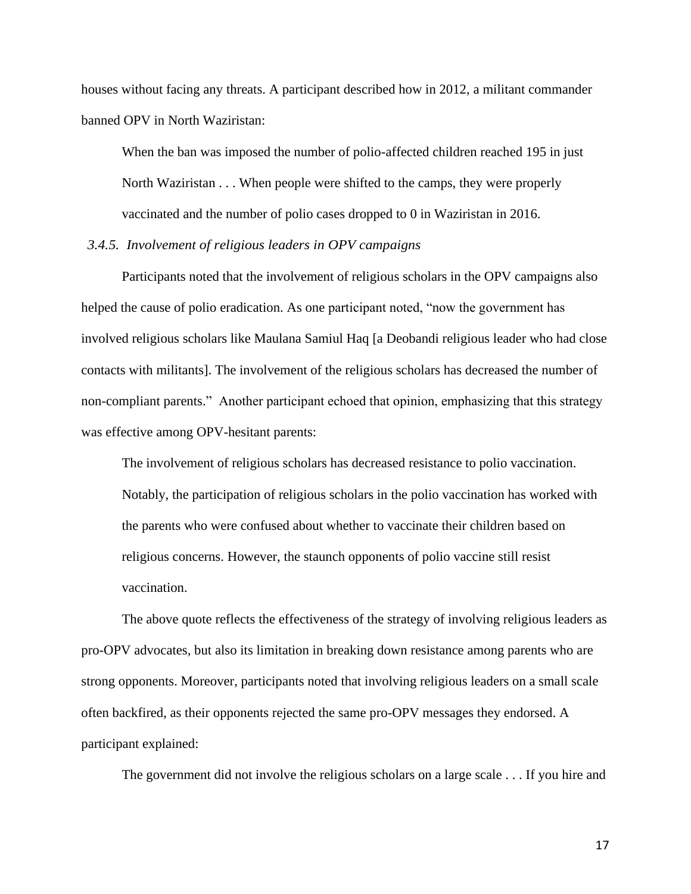houses without facing any threats. A participant described how in 2012, a militant commander banned OPV in North Waziristan:

When the ban was imposed the number of polio-affected children reached 195 in just North Waziristan . . . When people were shifted to the camps, they were properly vaccinated and the number of polio cases dropped to 0 in Waziristan in 2016.

# *3.4.5. Involvement of religious leaders in OPV campaigns*

Participants noted that the involvement of religious scholars in the OPV campaigns also helped the cause of polio eradication. As one participant noted, "now the government has involved religious scholars like Maulana Samiul Haq [a Deobandi religious leader who had close contacts with militants]. The involvement of the religious scholars has decreased the number of non-compliant parents." Another participant echoed that opinion, emphasizing that this strategy was effective among OPV-hesitant parents:

The involvement of religious scholars has decreased resistance to polio vaccination. Notably, the participation of religious scholars in the polio vaccination has worked with the parents who were confused about whether to vaccinate their children based on religious concerns. However, the staunch opponents of polio vaccine still resist vaccination.

The above quote reflects the effectiveness of the strategy of involving religious leaders as pro-OPV advocates, but also its limitation in breaking down resistance among parents who are strong opponents. Moreover, participants noted that involving religious leaders on a small scale often backfired, as their opponents rejected the same pro-OPV messages they endorsed. A participant explained:

The government did not involve the religious scholars on a large scale . . . If you hire and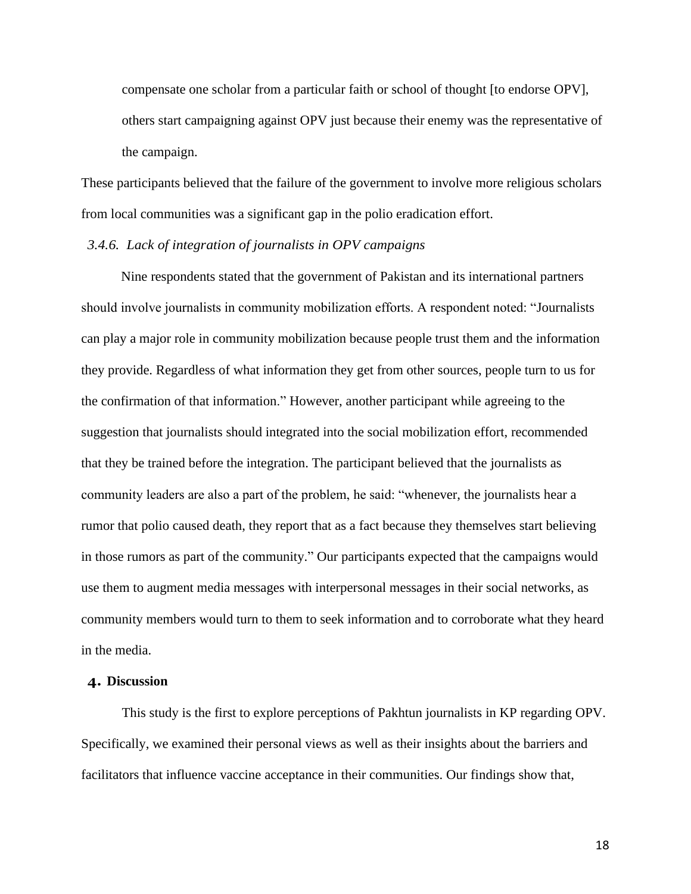compensate one scholar from a particular faith or school of thought [to endorse OPV], others start campaigning against OPV just because their enemy was the representative of the campaign.

These participants believed that the failure of the government to involve more religious scholars from local communities was a significant gap in the polio eradication effort.

## *3.4.6. Lack of integration of journalists in OPV campaigns*

Nine respondents stated that the government of Pakistan and its international partners should involve journalists in community mobilization efforts. A respondent noted: "Journalists can play a major role in community mobilization because people trust them and the information they provide. Regardless of what information they get from other sources, people turn to us for the confirmation of that information." However, another participant while agreeing to the suggestion that journalists should integrated into the social mobilization effort, recommended that they be trained before the integration. The participant believed that the journalists as community leaders are also a part of the problem, he said: "whenever, the journalists hear a rumor that polio caused death, they report that as a fact because they themselves start believing in those rumors as part of the community." Our participants expected that the campaigns would use them to augment media messages with interpersonal messages in their social networks, as community members would turn to them to seek information and to corroborate what they heard in the media.

#### **4. Discussion**

This study is the first to explore perceptions of Pakhtun journalists in KP regarding OPV. Specifically, we examined their personal views as well as their insights about the barriers and facilitators that influence vaccine acceptance in their communities. Our findings show that,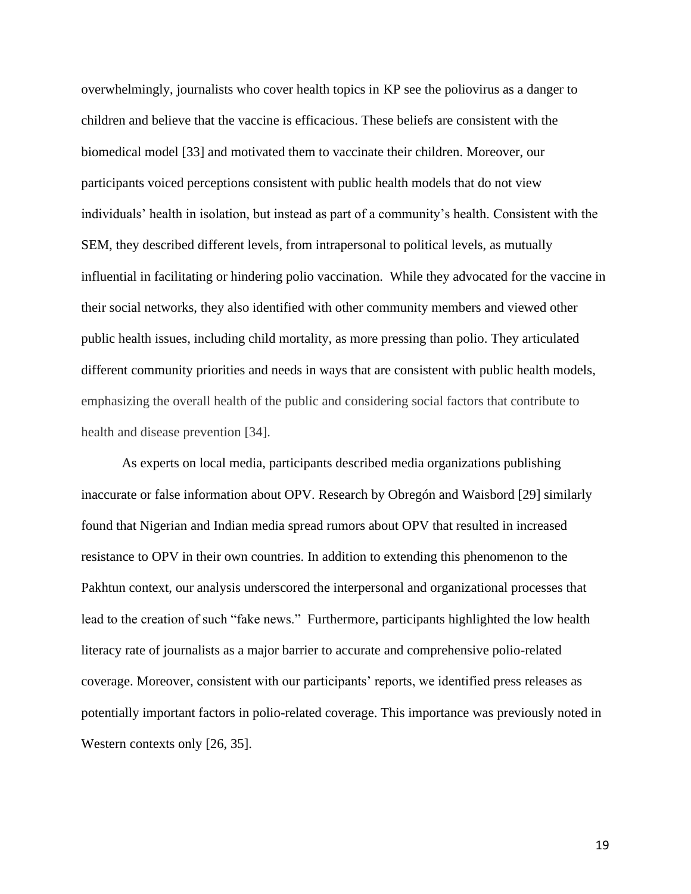overwhelmingly, journalists who cover health topics in KP see the poliovirus as a danger to children and believe that the vaccine is efficacious. These beliefs are consistent with the biomedical model [33] and motivated them to vaccinate their children. Moreover, our participants voiced perceptions consistent with public health models that do not view individuals' health in isolation, but instead as part of a community's health. Consistent with the SEM, they described different levels, from intrapersonal to political levels, as mutually influential in facilitating or hindering polio vaccination. While they advocated for the vaccine in their social networks, they also identified with other community members and viewed other public health issues, including child mortality, as more pressing than polio. They articulated different community priorities and needs in ways that are consistent with public health models, emphasizing the overall health of the public and considering social factors that contribute to health and disease prevention [34].

As experts on local media, participants described media organizations publishing inaccurate or false information about OPV. Research by Obregón and Waisbord [29] similarly found that Nigerian and Indian media spread rumors about OPV that resulted in increased resistance to OPV in their own countries. In addition to extending this phenomenon to the Pakhtun context, our analysis underscored the interpersonal and organizational processes that lead to the creation of such "fake news." Furthermore, participants highlighted the low health literacy rate of journalists as a major barrier to accurate and comprehensive polio-related coverage. Moreover, consistent with our participants' reports, we identified press releases as potentially important factors in polio-related coverage. This importance was previously noted in Western contexts only [26, 35].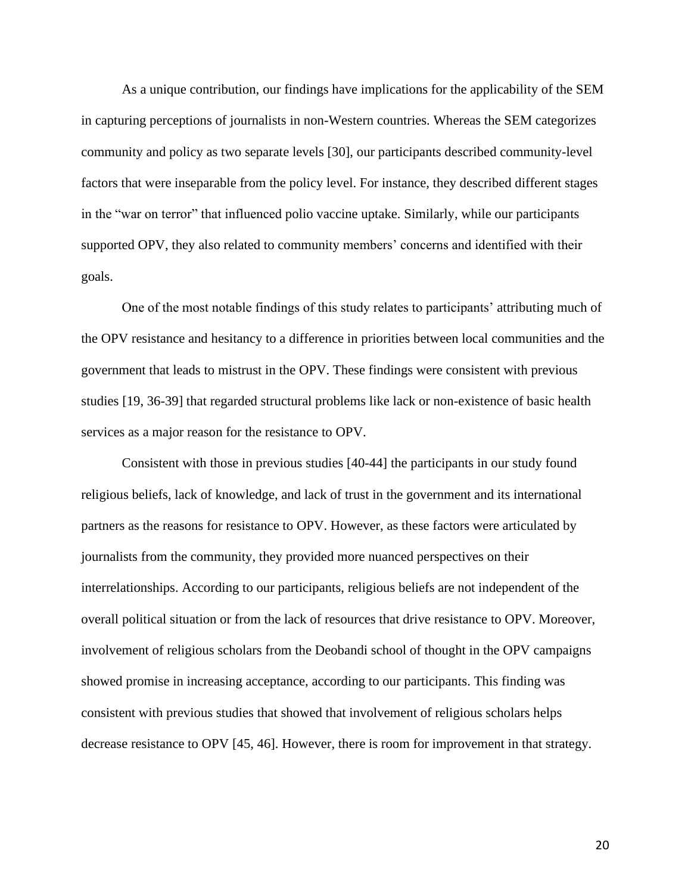As a unique contribution, our findings have implications for the applicability of the SEM in capturing perceptions of journalists in non-Western countries. Whereas the SEM categorizes community and policy as two separate levels [30], our participants described community-level factors that were inseparable from the policy level. For instance, they described different stages in the "war on terror" that influenced polio vaccine uptake. Similarly, while our participants supported OPV, they also related to community members' concerns and identified with their goals.

One of the most notable findings of this study relates to participants' attributing much of the OPV resistance and hesitancy to a difference in priorities between local communities and the government that leads to mistrust in the OPV. These findings were consistent with previous studies [19, 36-39] that regarded structural problems like lack or non-existence of basic health services as a major reason for the resistance to OPV.

Consistent with those in previous studies [40-44] the participants in our study found religious beliefs, lack of knowledge, and lack of trust in the government and its international partners as the reasons for resistance to OPV. However, as these factors were articulated by journalists from the community, they provided more nuanced perspectives on their interrelationships. According to our participants, religious beliefs are not independent of the overall political situation or from the lack of resources that drive resistance to OPV. Moreover, involvement of religious scholars from the Deobandi school of thought in the OPV campaigns showed promise in increasing acceptance, according to our participants. This finding was consistent with previous studies that showed that involvement of religious scholars helps decrease resistance to OPV [45, 46]. However, there is room for improvement in that strategy.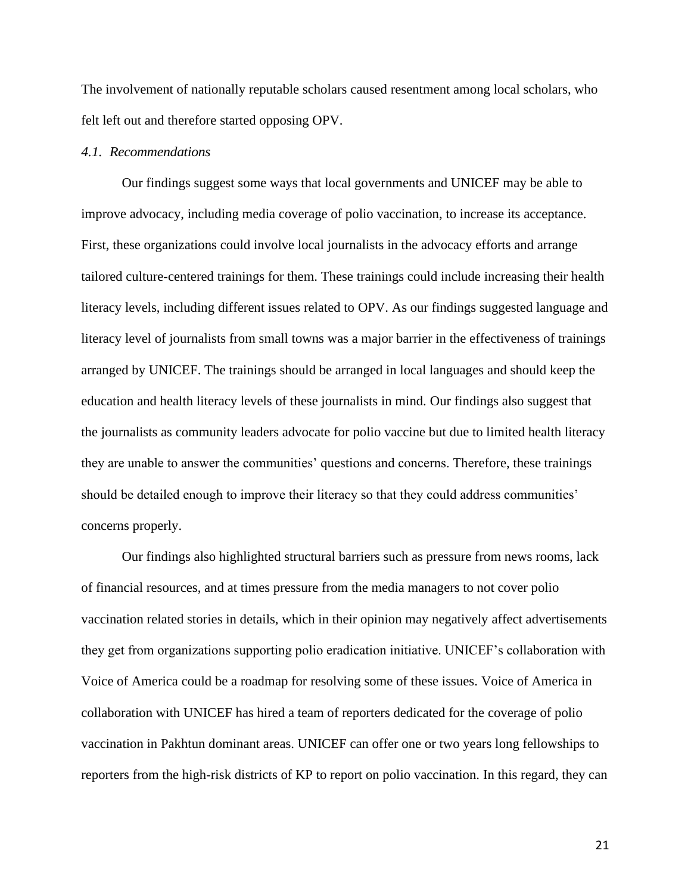The involvement of nationally reputable scholars caused resentment among local scholars, who felt left out and therefore started opposing OPV.

#### *4.1. Recommendations*

Our findings suggest some ways that local governments and UNICEF may be able to improve advocacy, including media coverage of polio vaccination, to increase its acceptance. First, these organizations could involve local journalists in the advocacy efforts and arrange tailored culture-centered trainings for them. These trainings could include increasing their health literacy levels, including different issues related to OPV. As our findings suggested language and literacy level of journalists from small towns was a major barrier in the effectiveness of trainings arranged by UNICEF. The trainings should be arranged in local languages and should keep the education and health literacy levels of these journalists in mind. Our findings also suggest that the journalists as community leaders advocate for polio vaccine but due to limited health literacy they are unable to answer the communities' questions and concerns. Therefore, these trainings should be detailed enough to improve their literacy so that they could address communities' concerns properly.

Our findings also highlighted structural barriers such as pressure from news rooms, lack of financial resources, and at times pressure from the media managers to not cover polio vaccination related stories in details, which in their opinion may negatively affect advertisements they get from organizations supporting polio eradication initiative. UNICEF's collaboration with Voice of America could be a roadmap for resolving some of these issues. Voice of America in collaboration with UNICEF has hired a team of reporters dedicated for the coverage of polio vaccination in Pakhtun dominant areas. UNICEF can offer one or two years long fellowships to reporters from the high-risk districts of KP to report on polio vaccination. In this regard, they can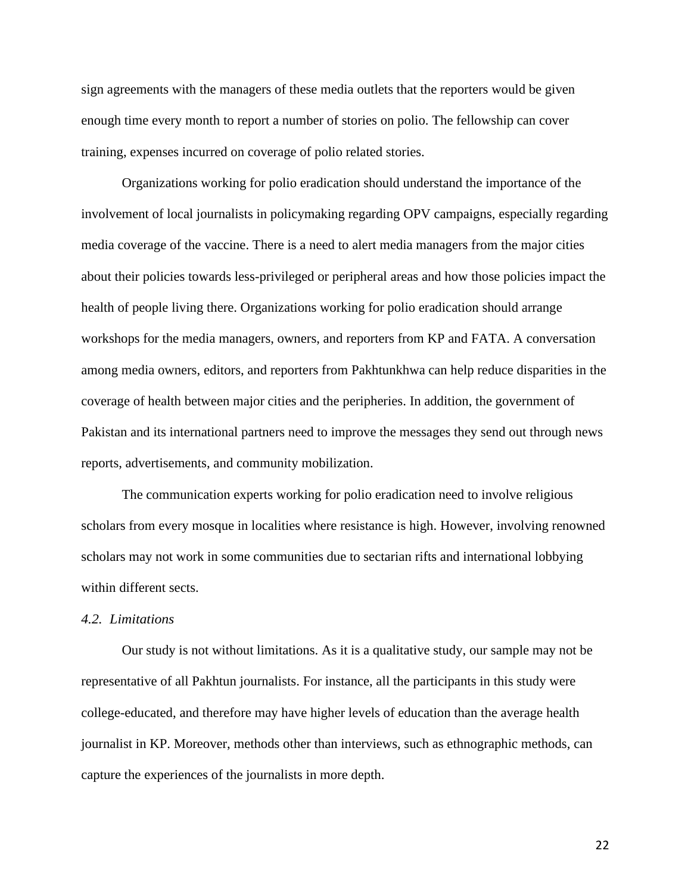sign agreements with the managers of these media outlets that the reporters would be given enough time every month to report a number of stories on polio. The fellowship can cover training, expenses incurred on coverage of polio related stories.

Organizations working for polio eradication should understand the importance of the involvement of local journalists in policymaking regarding OPV campaigns, especially regarding media coverage of the vaccine. There is a need to alert media managers from the major cities about their policies towards less-privileged or peripheral areas and how those policies impact the health of people living there. Organizations working for polio eradication should arrange workshops for the media managers, owners, and reporters from KP and FATA. A conversation among media owners, editors, and reporters from Pakhtunkhwa can help reduce disparities in the coverage of health between major cities and the peripheries. In addition, the government of Pakistan and its international partners need to improve the messages they send out through news reports, advertisements, and community mobilization.

The communication experts working for polio eradication need to involve religious scholars from every mosque in localities where resistance is high. However, involving renowned scholars may not work in some communities due to sectarian rifts and international lobbying within different sects.

#### *4.2. Limitations*

Our study is not without limitations. As it is a qualitative study, our sample may not be representative of all Pakhtun journalists. For instance, all the participants in this study were college-educated, and therefore may have higher levels of education than the average health journalist in KP. Moreover, methods other than interviews, such as ethnographic methods, can capture the experiences of the journalists in more depth.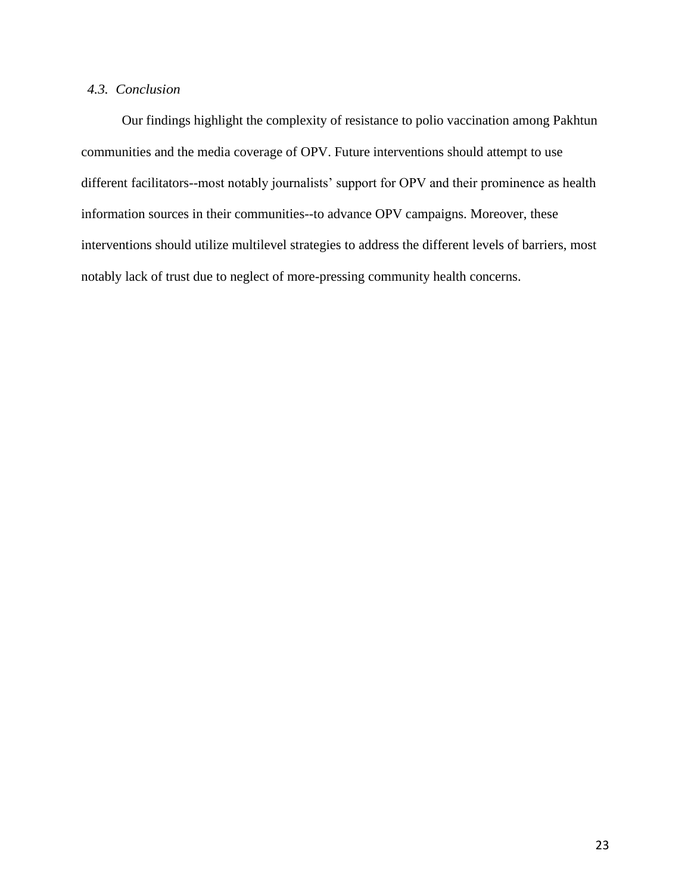# *4.3. Conclusion*

Our findings highlight the complexity of resistance to polio vaccination among Pakhtun communities and the media coverage of OPV. Future interventions should attempt to use different facilitators--most notably journalists' support for OPV and their prominence as health information sources in their communities--to advance OPV campaigns. Moreover, these interventions should utilize multilevel strategies to address the different levels of barriers, most notably lack of trust due to neglect of more-pressing community health concerns.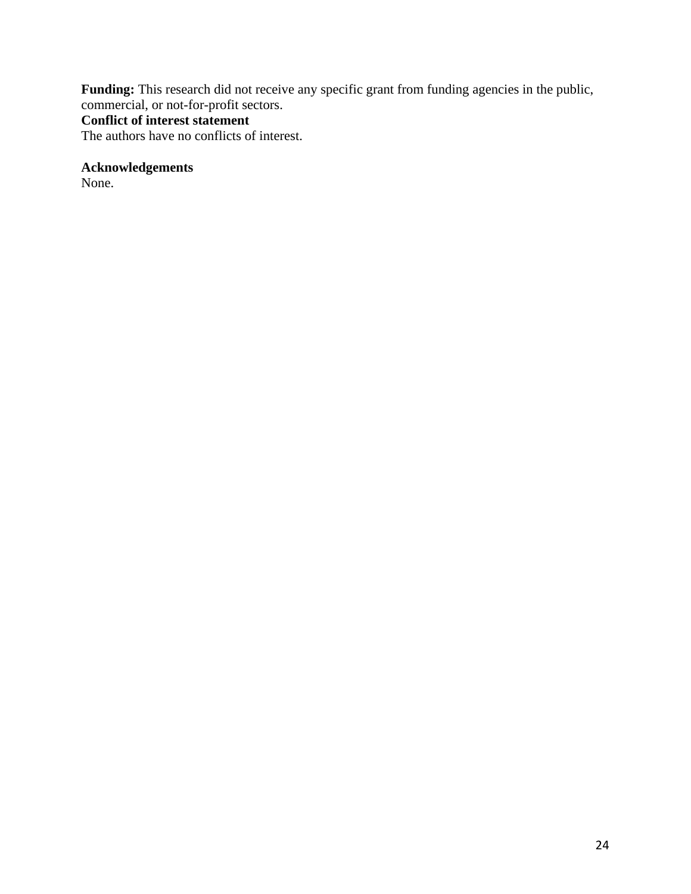Funding: This research did not receive any specific grant from funding agencies in the public, commercial, or not-for-profit sectors.

# **Conflict of interest statement**

The authors have no conflicts of interest.

**Acknowledgements**

None.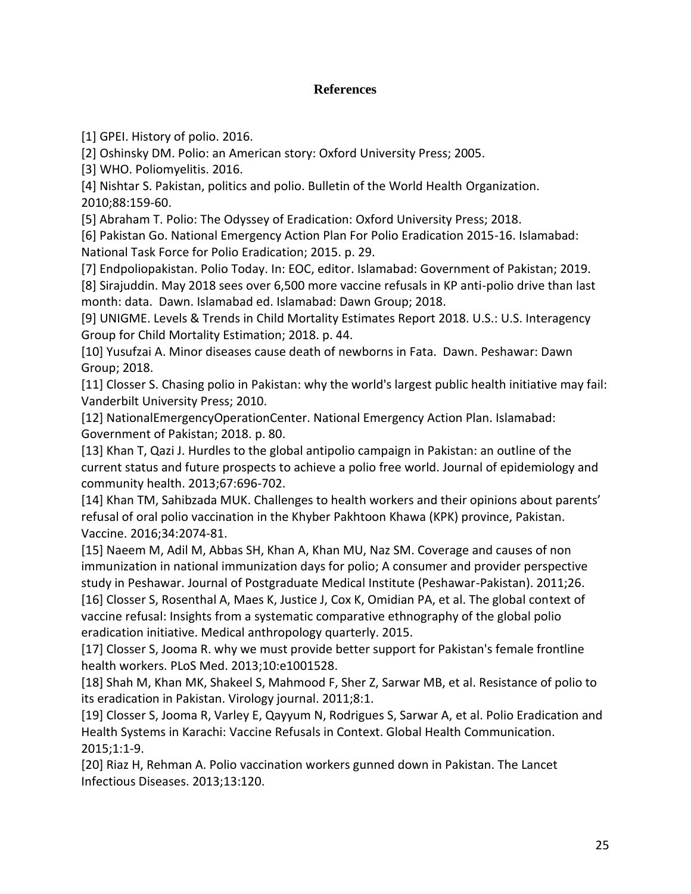# **References**

[1] GPEI. History of polio. 2016.

[2] Oshinsky DM. Polio: an American story: Oxford University Press; 2005.

[3] WHO. Poliomyelitis. 2016.

[4] Nishtar S. Pakistan, politics and polio. Bulletin of the World Health Organization. 2010;88:159-60.

[5] Abraham T. Polio: The Odyssey of Eradication: Oxford University Press; 2018.

[6] Pakistan Go. National Emergency Action Plan For Polio Eradication 2015-16. Islamabad: National Task Force for Polio Eradication; 2015. p. 29.

[7] Endpoliopakistan. Polio Today. In: EOC, editor. Islamabad: Government of Pakistan; 2019.

[8] Sirajuddin. May 2018 sees over 6,500 more vaccine refusals in KP anti-polio drive than last month: data. Dawn. Islamabad ed. Islamabad: Dawn Group; 2018.

[9] UNIGME. Levels & Trends in Child Mortality Estimates Report 2018. U.S.: U.S. Interagency Group for Child Mortality Estimation; 2018. p. 44.

[10] Yusufzai A. Minor diseases cause death of newborns in Fata. Dawn. Peshawar: Dawn Group; 2018.

[11] Closser S. Chasing polio in Pakistan: why the world's largest public health initiative may fail: Vanderbilt University Press; 2010.

[12] NationalEmergencyOperationCenter. National Emergency Action Plan. Islamabad: Government of Pakistan; 2018. p. 80.

[13] Khan T, Qazi J. Hurdles to the global antipolio campaign in Pakistan: an outline of the current status and future prospects to achieve a polio free world. Journal of epidemiology and community health. 2013;67:696-702.

[14] Khan TM, Sahibzada MUK. Challenges to health workers and their opinions about parents' refusal of oral polio vaccination in the Khyber Pakhtoon Khawa (KPK) province, Pakistan. Vaccine. 2016;34:2074-81.

[15] Naeem M, Adil M, Abbas SH, Khan A, Khan MU, Naz SM. Coverage and causes of non immunization in national immunization days for polio; A consumer and provider perspective study in Peshawar. Journal of Postgraduate Medical Institute (Peshawar-Pakistan). 2011;26. [16] Closser S, Rosenthal A, Maes K, Justice J, Cox K, Omidian PA, et al. The global context of vaccine refusal: Insights from a systematic comparative ethnography of the global polio eradication initiative. Medical anthropology quarterly. 2015.

[17] Closser S, Jooma R. why we must provide better support for Pakistan's female frontline health workers. PLoS Med. 2013;10:e1001528.

[18] Shah M, Khan MK, Shakeel S, Mahmood F, Sher Z, Sarwar MB, et al. Resistance of polio to its eradication in Pakistan. Virology journal. 2011;8:1.

[19] Closser S, Jooma R, Varley E, Qayyum N, Rodrigues S, Sarwar A, et al. Polio Eradication and Health Systems in Karachi: Vaccine Refusals in Context. Global Health Communication. 2015;1:1-9.

[20] Riaz H, Rehman A. Polio vaccination workers gunned down in Pakistan. The Lancet Infectious Diseases. 2013;13:120.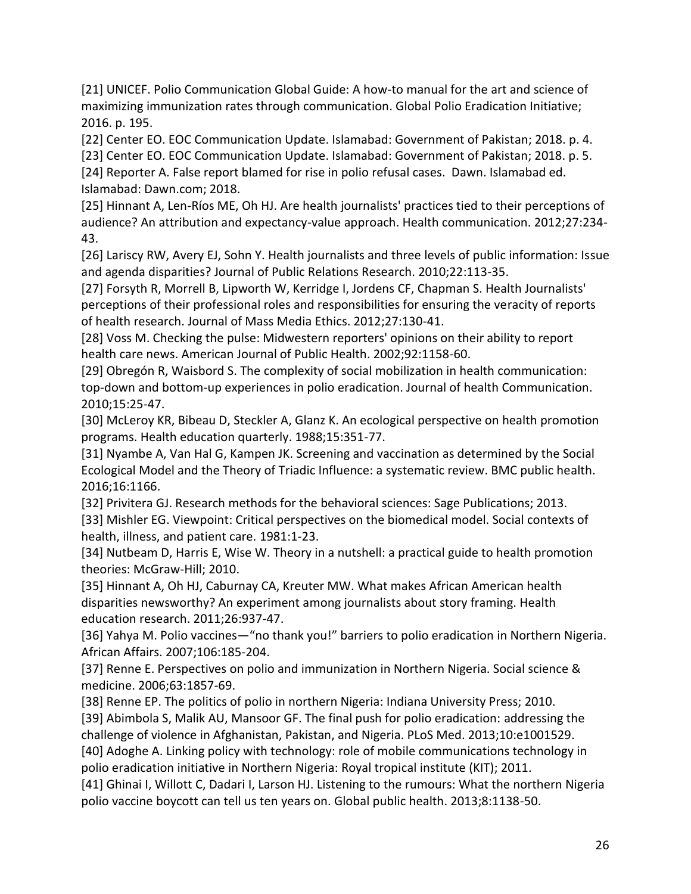[21] UNICEF. Polio Communication Global Guide: A how-to manual for the art and science of maximizing immunization rates through communication. Global Polio Eradication Initiative; 2016. p. 195.

[22] Center EO. EOC Communication Update. Islamabad: Government of Pakistan; 2018. p. 4.

[23] Center EO. EOC Communication Update. Islamabad: Government of Pakistan; 2018. p. 5.

[24] Reporter A. False report blamed for rise in polio refusal cases. Dawn. Islamabad ed. Islamabad: Dawn.com; 2018.

[25] Hinnant A, Len-Ríos ME, Oh HJ. Are health journalists' practices tied to their perceptions of audience? An attribution and expectancy-value approach. Health communication. 2012;27:234- 43.

[26] Lariscy RW, Avery EJ, Sohn Y. Health journalists and three levels of public information: Issue and agenda disparities? Journal of Public Relations Research. 2010;22:113-35.

[27] Forsyth R, Morrell B, Lipworth W, Kerridge I, Jordens CF, Chapman S. Health Journalists' perceptions of their professional roles and responsibilities for ensuring the veracity of reports of health research. Journal of Mass Media Ethics. 2012;27:130-41.

[28] Voss M. Checking the pulse: Midwestern reporters' opinions on their ability to report health care news. American Journal of Public Health. 2002;92:1158-60.

[29] Obregón R, Waisbord S. The complexity of social mobilization in health communication: top-down and bottom-up experiences in polio eradication. Journal of health Communication. 2010;15:25-47.

[30] McLeroy KR, Bibeau D, Steckler A, Glanz K. An ecological perspective on health promotion programs. Health education quarterly. 1988;15:351-77.

[31] Nyambe A, Van Hal G, Kampen JK. Screening and vaccination as determined by the Social Ecological Model and the Theory of Triadic Influence: a systematic review. BMC public health. 2016;16:1166.

[32] Privitera GJ. Research methods for the behavioral sciences: Sage Publications; 2013. [33] Mishler EG. Viewpoint: Critical perspectives on the biomedical model. Social contexts of health, illness, and patient care. 1981:1-23.

[34] Nutbeam D, Harris E, Wise W. Theory in a nutshell: a practical guide to health promotion theories: McGraw-Hill; 2010.

[35] Hinnant A, Oh HJ, Caburnay CA, Kreuter MW. What makes African American health disparities newsworthy? An experiment among journalists about story framing. Health education research. 2011;26:937-47.

[36] Yahya M. Polio vaccines—"no thank you!" barriers to polio eradication in Northern Nigeria. African Affairs. 2007;106:185-204.

[37] Renne E. Perspectives on polio and immunization in Northern Nigeria. Social science & medicine. 2006;63:1857-69.

[38] Renne EP. The politics of polio in northern Nigeria: Indiana University Press; 2010. [39] Abimbola S, Malik AU, Mansoor GF. The final push for polio eradication: addressing the challenge of violence in Afghanistan, Pakistan, and Nigeria. PLoS Med. 2013;10:e1001529.

[40] Adoghe A. Linking policy with technology: role of mobile communications technology in polio eradication initiative in Northern Nigeria: Royal tropical institute (KIT); 2011.

[41] Ghinai I, Willott C, Dadari I, Larson HJ. Listening to the rumours: What the northern Nigeria polio vaccine boycott can tell us ten years on. Global public health. 2013;8:1138-50.